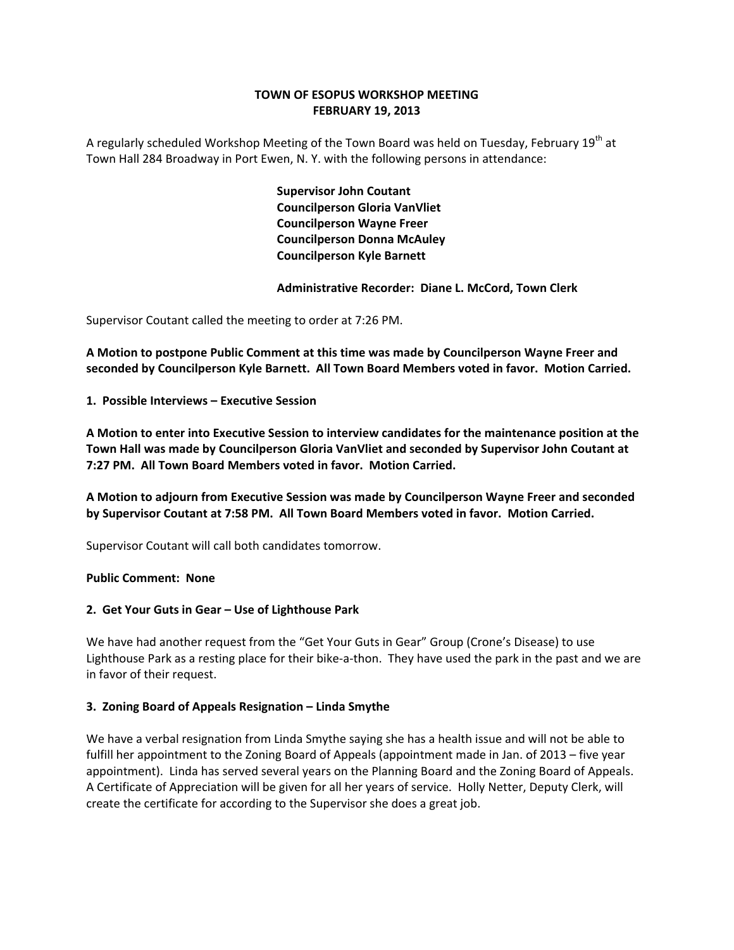## **TOWN OF ESOPUS WORKSHOP MEETING FEBRUARY 19, 2013**

A regularly scheduled Workshop Meeting of the Town Board was held on Tuesday, February 19<sup>th</sup> at Town Hall 284 Broadway in Port Ewen, N. Y. with the following persons in attendance:

> **Supervisor John Coutant Councilperson Gloria VanVliet Councilperson Wayne Freer Councilperson Donna McAuley Councilperson Kyle Barnett**

 **Administrative Recorder: Diane L. McCord, Town Clerk**

Supervisor Coutant called the meeting to order at 7:26 PM.

**A Motion to postpone Public Comment at this time was made by Councilperson Wayne Freer and seconded by Councilperson Kyle Barnett. All Town Board Members voted in favor. Motion Carried.**

**1. Possible Interviews – Executive Session**

**A Motion to enter into Executive Session to interview candidates for the maintenance position at the Town Hall was made by Councilperson Gloria VanVliet and seconded by Supervisor John Coutant at 7:27 PM. All Town Board Members voted in favor. Motion Carried.**

**A Motion to adjourn from Executive Session was made by Councilperson Wayne Freer and seconded by Supervisor Coutant at 7:58 PM. All Town Board Members voted in favor. Motion Carried.**

Supervisor Coutant will call both candidates tomorrow.

### **Public Comment: None**

### **2. Get Your Guts in Gear – Use of Lighthouse Park**

We have had another request from the "Get Your Guts in Gear" Group (Crone's Disease) to use Lighthouse Park as a resting place for their bike‐a‐thon. They have used the park in the past and we are in favor of their request.

## **3. Zoning Board of Appeals Resignation – Linda Smythe**

We have a verbal resignation from Linda Smythe saying she has a health issue and will not be able to fulfill her appointment to the Zoning Board of Appeals (appointment made in Jan. of 2013 – five year appointment). Linda has served several years on the Planning Board and the Zoning Board of Appeals. A Certificate of Appreciation will be given for all her years of service. Holly Netter, Deputy Clerk, will create the certificate for according to the Supervisor she does a great job.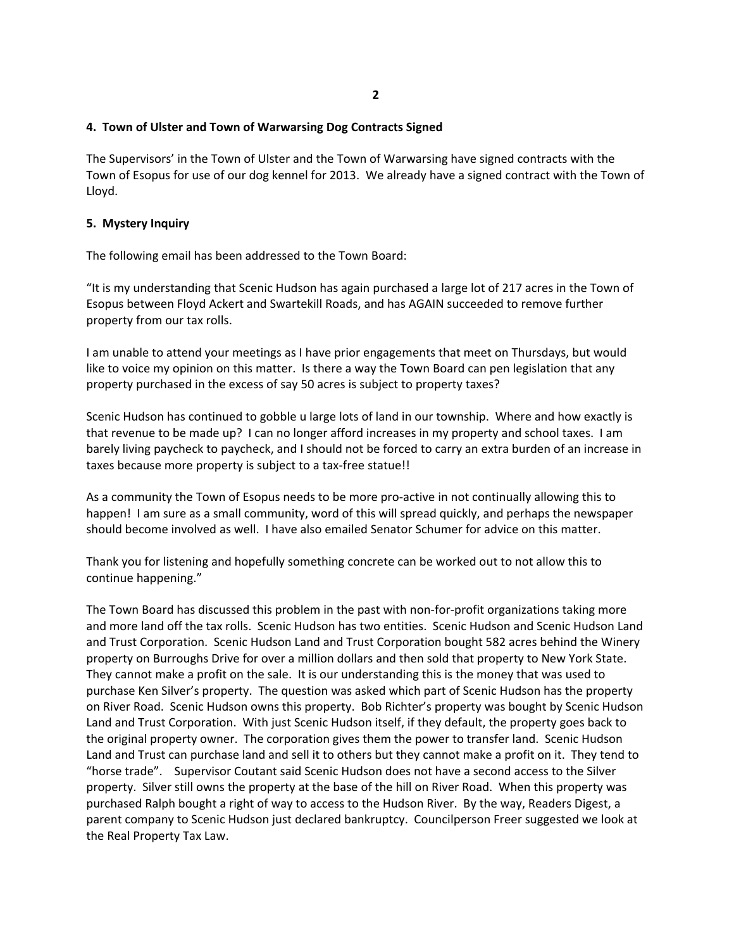# **4. Town of Ulster and Town of Warwarsing Dog Contracts Signed**

The Supervisors' in the Town of Ulster and the Town of Warwarsing have signed contracts with the Town of Esopus for use of our dog kennel for 2013. We already have a signed contract with the Town of Lloyd.

## **5. Mystery Inquiry**

The following email has been addressed to the Town Board:

"It is my understanding that Scenic Hudson has again purchased a large lot of 217 acres in the Town of Esopus between Floyd Ackert and Swartekill Roads, and has AGAIN succeeded to remove further property from our tax rolls.

I am unable to attend your meetings as I have prior engagements that meet on Thursdays, but would like to voice my opinion on this matter. Is there a way the Town Board can pen legislation that any property purchased in the excess of say 50 acres is subject to property taxes?

Scenic Hudson has continued to gobble u large lots of land in our township. Where and how exactly is that revenue to be made up? I can no longer afford increases in my property and school taxes. I am barely living paycheck to paycheck, and I should not be forced to carry an extra burden of an increase in taxes because more property is subject to a tax‐free statue!!

As a community the Town of Esopus needs to be more pro-active in not continually allowing this to happen! I am sure as a small community, word of this will spread quickly, and perhaps the newspaper should become involved as well. I have also emailed Senator Schumer for advice on this matter.

Thank you for listening and hopefully something concrete can be worked out to not allow this to continue happening."

The Town Board has discussed this problem in the past with non‐for‐profit organizations taking more and more land off the tax rolls. Scenic Hudson has two entities. Scenic Hudson and Scenic Hudson Land and Trust Corporation. Scenic Hudson Land and Trust Corporation bought 582 acres behind the Winery property on Burroughs Drive for over a million dollars and then sold that property to New York State. They cannot make a profit on the sale. It is our understanding this is the money that was used to purchase Ken Silver's property. The question was asked which part of Scenic Hudson has the property on River Road. Scenic Hudson owns this property. Bob Richter's property was bought by Scenic Hudson Land and Trust Corporation. With just Scenic Hudson itself, if they default, the property goes back to the original property owner. The corporation gives them the power to transfer land. Scenic Hudson Land and Trust can purchase land and sell it to others but they cannot make a profit on it. They tend to "horse trade". Supervisor Coutant said Scenic Hudson does not have a second access to the Silver property. Silver still owns the property at the base of the hill on River Road. When this property was purchased Ralph bought a right of way to access to the Hudson River. By the way, Readers Digest, a parent company to Scenic Hudson just declared bankruptcy. Councilperson Freer suggested we look at the Real Property Tax Law.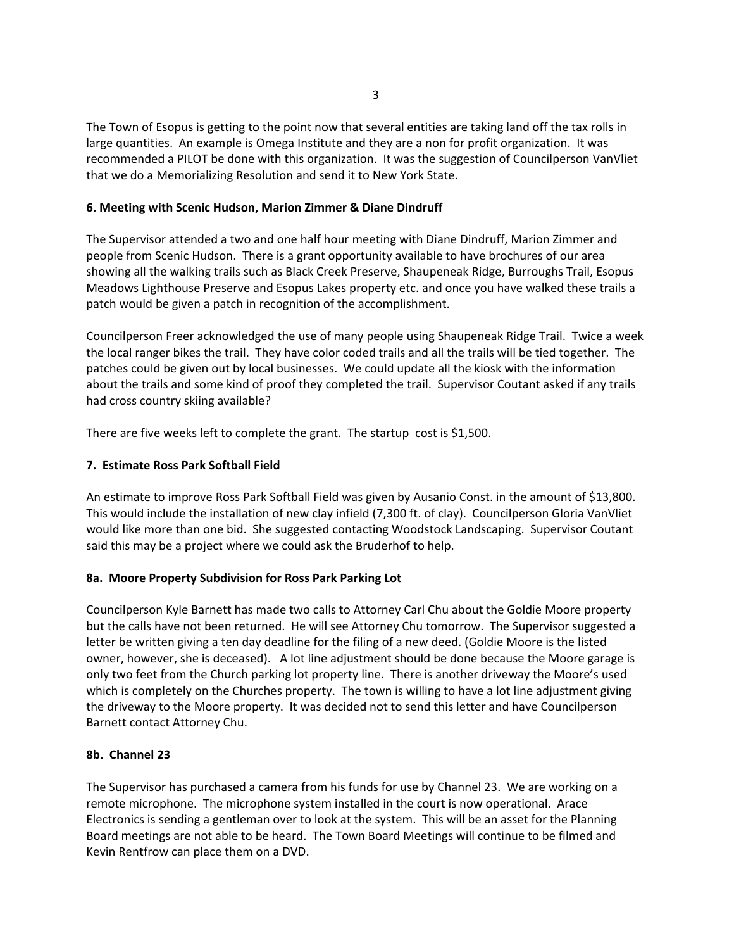The Town of Esopus is getting to the point now that several entities are taking land off the tax rolls in large quantities. An example is Omega Institute and they are a non for profit organization. It was recommended a PILOT be done with this organization. It was the suggestion of Councilperson VanVliet that we do a Memorializing Resolution and send it to New York State.

## **6. Meeting with Scenic Hudson, Marion Zimmer & Diane Dindruff**

The Supervisor attended a two and one half hour meeting with Diane Dindruff, Marion Zimmer and people from Scenic Hudson. There is a grant opportunity available to have brochures of our area showing all the walking trails such as Black Creek Preserve, Shaupeneak Ridge, Burroughs Trail, Esopus Meadows Lighthouse Preserve and Esopus Lakes property etc. and once you have walked these trails a patch would be given a patch in recognition of the accomplishment.

Councilperson Freer acknowledged the use of many people using Shaupeneak Ridge Trail. Twice a week the local ranger bikes the trail. They have color coded trails and all the trails will be tied together. The patches could be given out by local businesses. We could update all the kiosk with the information about the trails and some kind of proof they completed the trail. Supervisor Coutant asked if any trails had cross country skiing available?

There are five weeks left to complete the grant. The startup cost is \$1,500.

### **7. Estimate Ross Park Softball Field**

An estimate to improve Ross Park Softball Field was given by Ausanio Const. in the amount of \$13,800. This would include the installation of new clay infield (7,300 ft. of clay). Councilperson Gloria VanVliet would like more than one bid. She suggested contacting Woodstock Landscaping. Supervisor Coutant said this may be a project where we could ask the Bruderhof to help.

## **8a. Moore Property Subdivision for Ross Park Parking Lot**

Councilperson Kyle Barnett has made two calls to Attorney Carl Chu about the Goldie Moore property but the calls have not been returned. He will see Attorney Chu tomorrow. The Supervisor suggested a letter be written giving a ten day deadline for the filing of a new deed. (Goldie Moore is the listed owner, however, she is deceased). A lot line adjustment should be done because the Moore garage is only two feet from the Church parking lot property line. There is another driveway the Moore's used which is completely on the Churches property. The town is willing to have a lot line adjustment giving the driveway to the Moore property. It was decided not to send this letter and have Councilperson Barnett contact Attorney Chu.

### **8b. Channel 23**

The Supervisor has purchased a camera from his funds for use by Channel 23. We are working on a remote microphone. The microphone system installed in the court is now operational. Arace Electronics is sending a gentleman over to look at the system. This will be an asset for the Planning Board meetings are not able to be heard. The Town Board Meetings will continue to be filmed and Kevin Rentfrow can place them on a DVD.